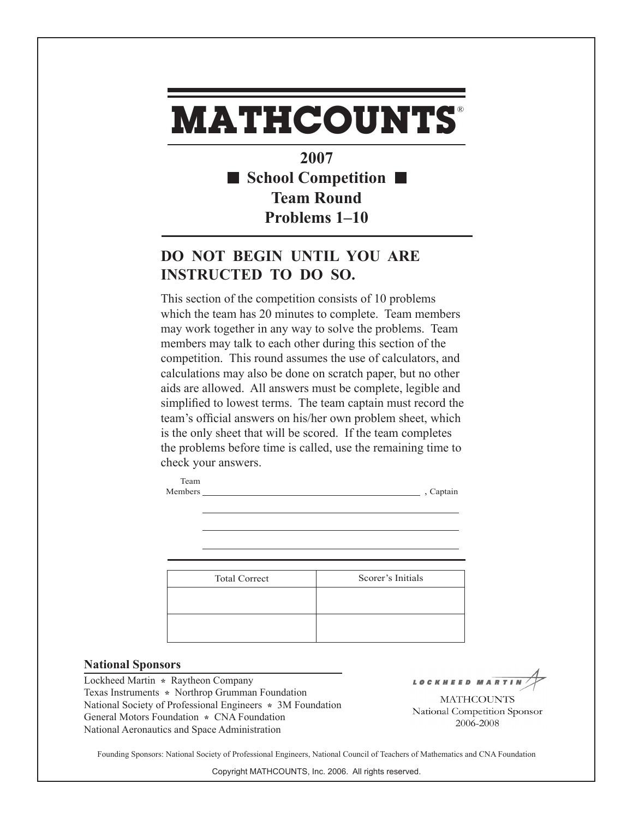## **MATHCOUNTS** ®

**2007 School Competition Team Round Problems 1–10**

## **DO NOT BEGIN UNTIL YOU ARE INSTRUCTED TO DO SO.**

This section of the competition consists of 10 problems which the team has 20 minutes to complete. Team members may work together in any way to solve the problems. Team members may talk to each other during this section of the competition. This round assumes the use of calculators, and calculations may also be done on scratch paper, but no other aids are allowed. All answers must be complete, legible and simplified to lowest terms. The team captain must record the team's official answers on his/her own problem sheet, which is the only sheet that will be scored. If the team completes the problems before time is called, use the remaining time to check your answers.

| Scorer's Initials |
|-------------------|
|                   |
|                   |
|                   |

Members , Captain

## **National Sponsors**

Lockheed Martin **\*** Raytheon Company Texas Instruments **\*** Northrop Grumman Foundation National Society of Professional Engineers **\*** 3M Foundation General Motors Foundation **\*** CNA Foundation National Aeronautics and Space Administration

Team

LOCKHEED MAR

**MATHCOUNTS** National Competition Sponsor 2006-2008

Founding Sponsors: National Society of Professional Engineers, National Council of Teachers of Mathematics and CNA Foundation

Copyright MATHCOUNTS, Inc. 2006. All rights reserved.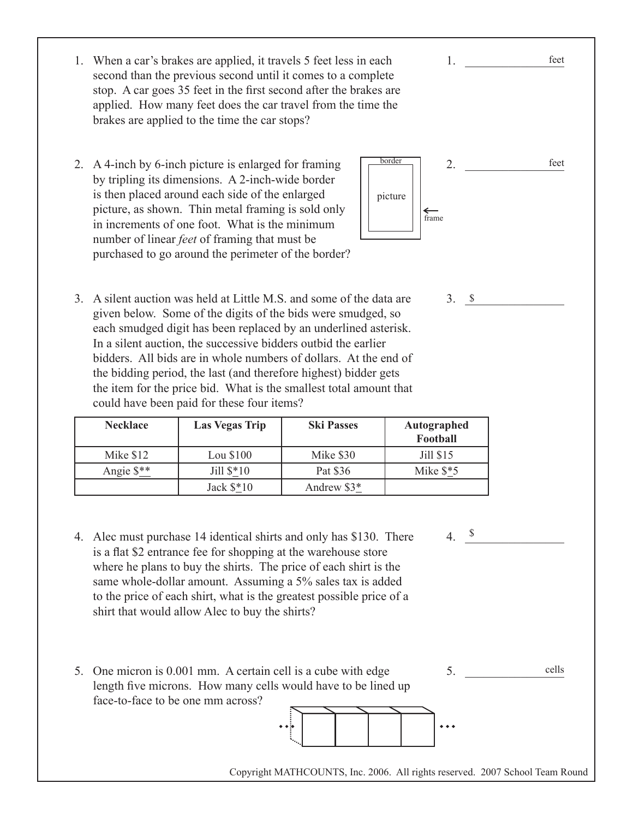- 1. When a car's brakes are applied, it travels 5 feet less in each second than the previous second until it comes to a complete stop. A car goes 35 feet in the first second after the brakes are applied. How many feet does the car travel from the time the brakes are applied to the time the car stops?
- 2. A 4-inch by 6-inch picture is enlarged for framing by tripling its dimensions. A 2-inch-wide border is then placed around each side of the enlarged picture, as shown. Thin metal framing is sold only in increments of one foot. What is the minimum number of linear *feet* of framing that must be purchased to go around the perimeter of the border?



1. \_\_\_\_\_\_\_\_\_\_\_\_\_\_\_\_

 $3. \quad$   $\frac{\ }{s}$ 

3. A silent auction was held at Little M.S. and some of the data are given below. Some of the digits of the bids were smudged, so each smudged digit has been replaced by an underlined asterisk. In a silent auction, the successive bidders outbid the earlier bidders. All bids are in whole numbers of dollars. At the end of the bidding period, the last (and therefore highest) bidder gets the item for the price bid. What is the smallest total amount that could have been paid for these four items?

| <b>Necklace</b>      | <b>Las Vegas Trip</b> | <b>Ski Passes</b> | Autographed<br>Football |
|----------------------|-----------------------|-------------------|-------------------------|
| Mike \$12            | Lou \$100             | Mike \$30         | Jill \$15               |
| Angie $\frac{$*}{2}$ | Jill $$*10$           | Pat \$36          | Mike $$*5$              |
|                      | Jack $$*10$           | Andrew \$3*       |                         |

- $4. \frac{\$}{ }$ 4. Alec must purchase 14 identical shirts and only has \$130. There is a flat \$2 entrance fee for shopping at the warehouse store where he plans to buy the shirts. The price of each shirt is the same whole-dollar amount. Assuming a 5% sales tax is added to the price of each shirt, what is the greatest possible price of a shirt that would allow Alec to buy the shirts?
- 5. One micron is 0.001 mm. A certain cell is a cube with edge length five microns. How many cells would have to be lined up face-to-face to be one mm across?

 $5.$ cells



Copyright MATHCOUNTS, Inc. 2006. All rights reserved. 2007 School Team Round